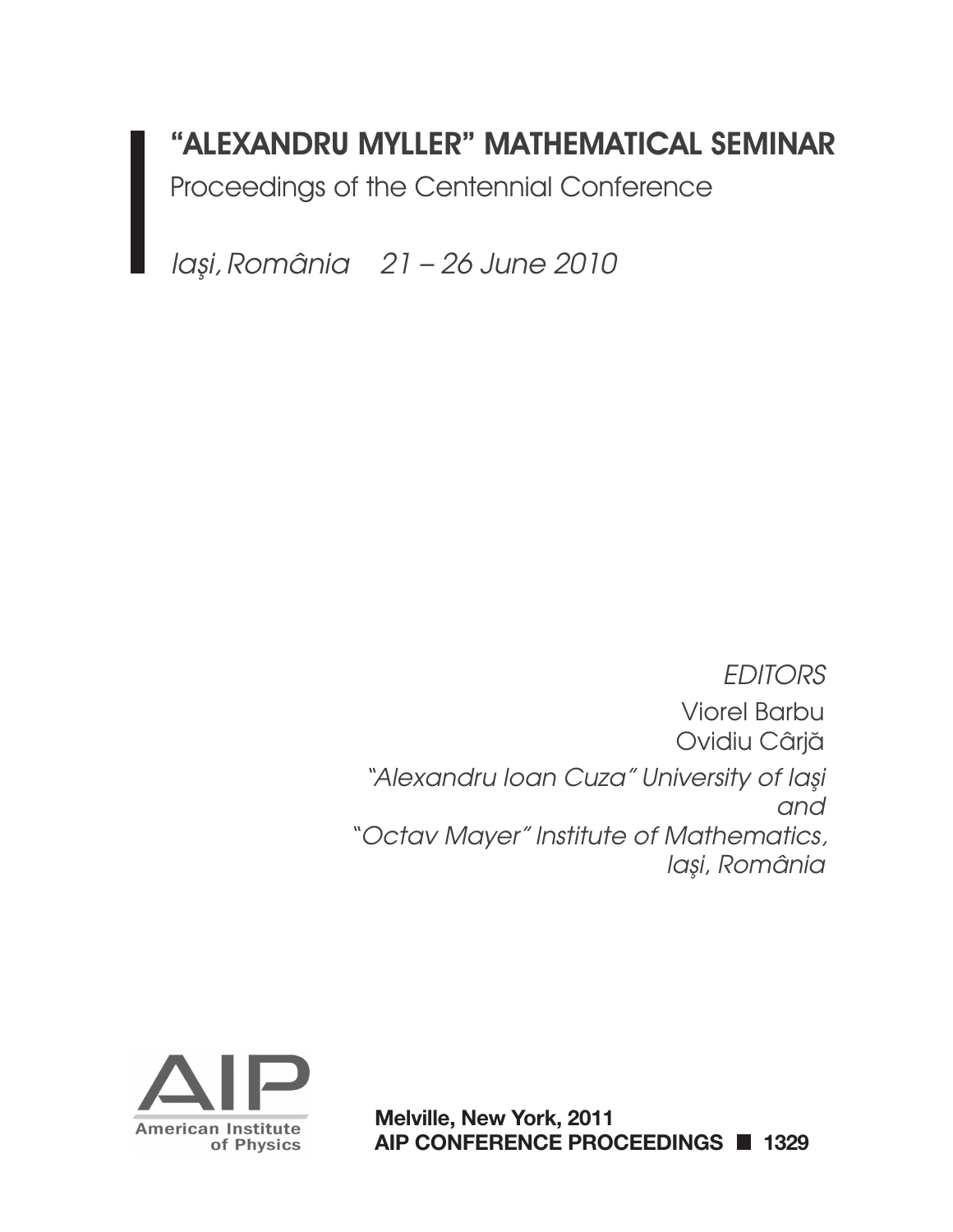# "ALEXANDRU MYLLER" MATHEMATICAL SEMINAR

Proceedings of the Centennial Conference

*Ias¸i, România 21 – 26 June 2010* 

*EDITORS* Viorel Barbu Ovidiu Cârjă *"Alexandru Ioan Cuza" University of Ias¸i and "Octav Mayer" Institute of Mathematics, Ias¸i*, *România*



**Melville, New York, 2011 AIP CONFERENCE PROCEEDINGS 1329**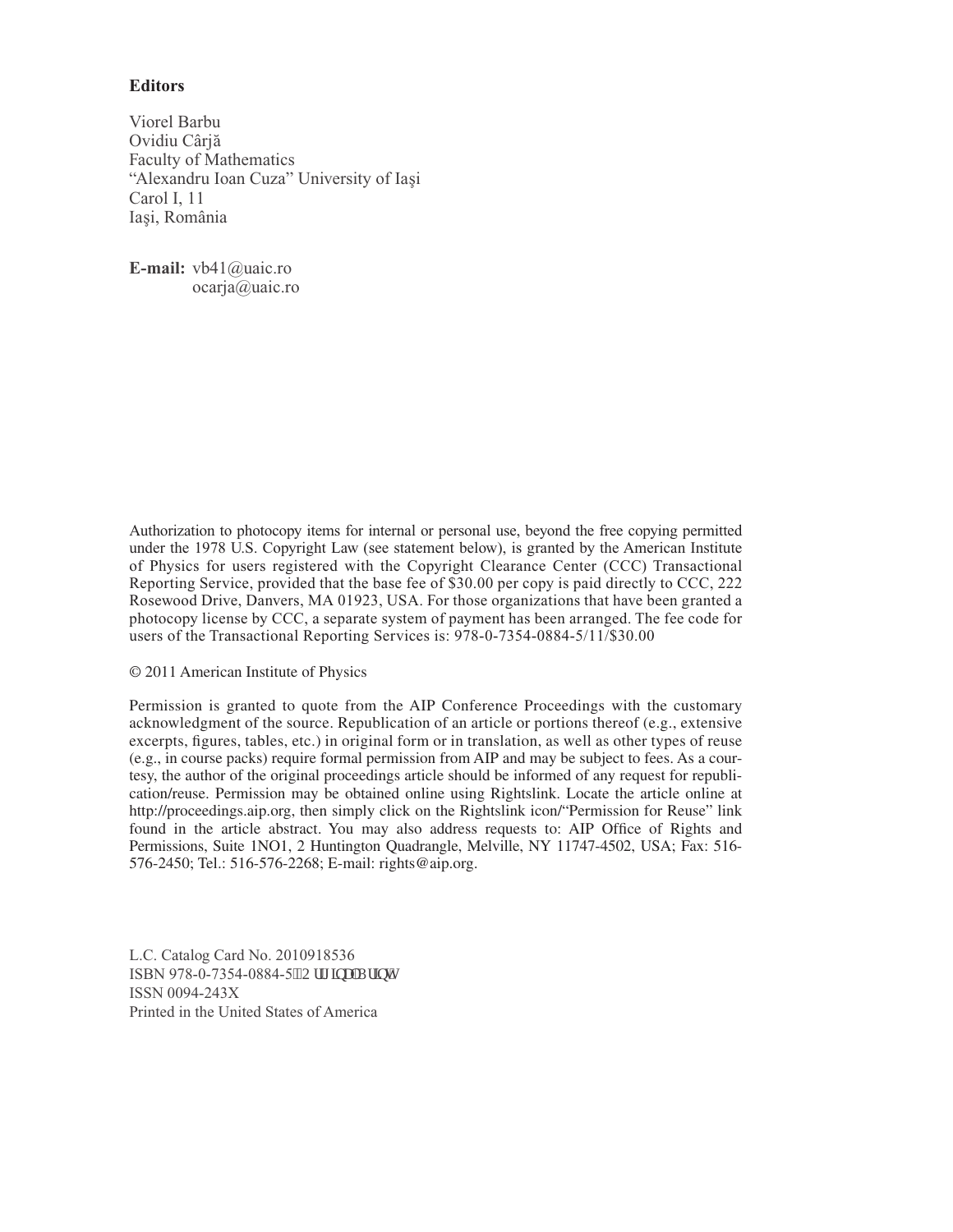### **Editors**

Viorel Barbu Ovidiu Cârjă Faculty of Mathematics "Alexandru Ioan Cuza" University of Iaşi Carol I, 11 Ias*¸*i, România

**E-mail:** vb41@uaic.ro ocarja@uaic.ro

Authorization to photocopy items for internal or personal use, beyond the free copying permitted under the 1978 U.S. Copyright Law (see statement below), is granted by the American Institute of Physics for users registered with the Copyright Clearance Center (CCC) Transactional Reporting Service, provided that the base fee of \$30.00 per copy is paid directly to CCC, 222 Rosewood Drive, Danvers, MA 01923, USA. For those organizations that have been granted a photocopy license by CCC, a separate system of payment has been arranged. The fee code for users of the Transactional Reporting Services is: 978-0-7354-0884-5/11/\$30.00

#### © 2011 American Institute of Physics

Permission is granted to quote from the AIP Conference Proceedings with the customary acknowledgment of the source. Republication of an article or portions thereof (e.g., extensive excerpts, figures, tables, etc.) in original form or in translation, as well as other types of reuse (e.g., in course packs) require formal permission from AIP and may be subject to fees. As a courtesy, the author of the original proceedings article should be informed of any request for republication/reuse. Permission may be obtained online using Rightslink. Locate the article online at http://proceedings.aip.org, then simply click on the Rightslink icon/"Permission for Reuse" link found in the article abstract. You may also address requests to: AIP Office of Rights and Permissions, Suite 1NO1, 2 Huntington Quadrangle, Melville, NY 11747-4502, USA; Fax: 516- 576-2450; Tel.: 516-576-2268; E-mail: rights@aip.org.

L.C. Catalog Card No. 2010918536 ISBN 978-0-7354-0884-5<sup>19</sup>Qtki kpcnRtkpv+ ISSN 0094-243X Printed in the United States of America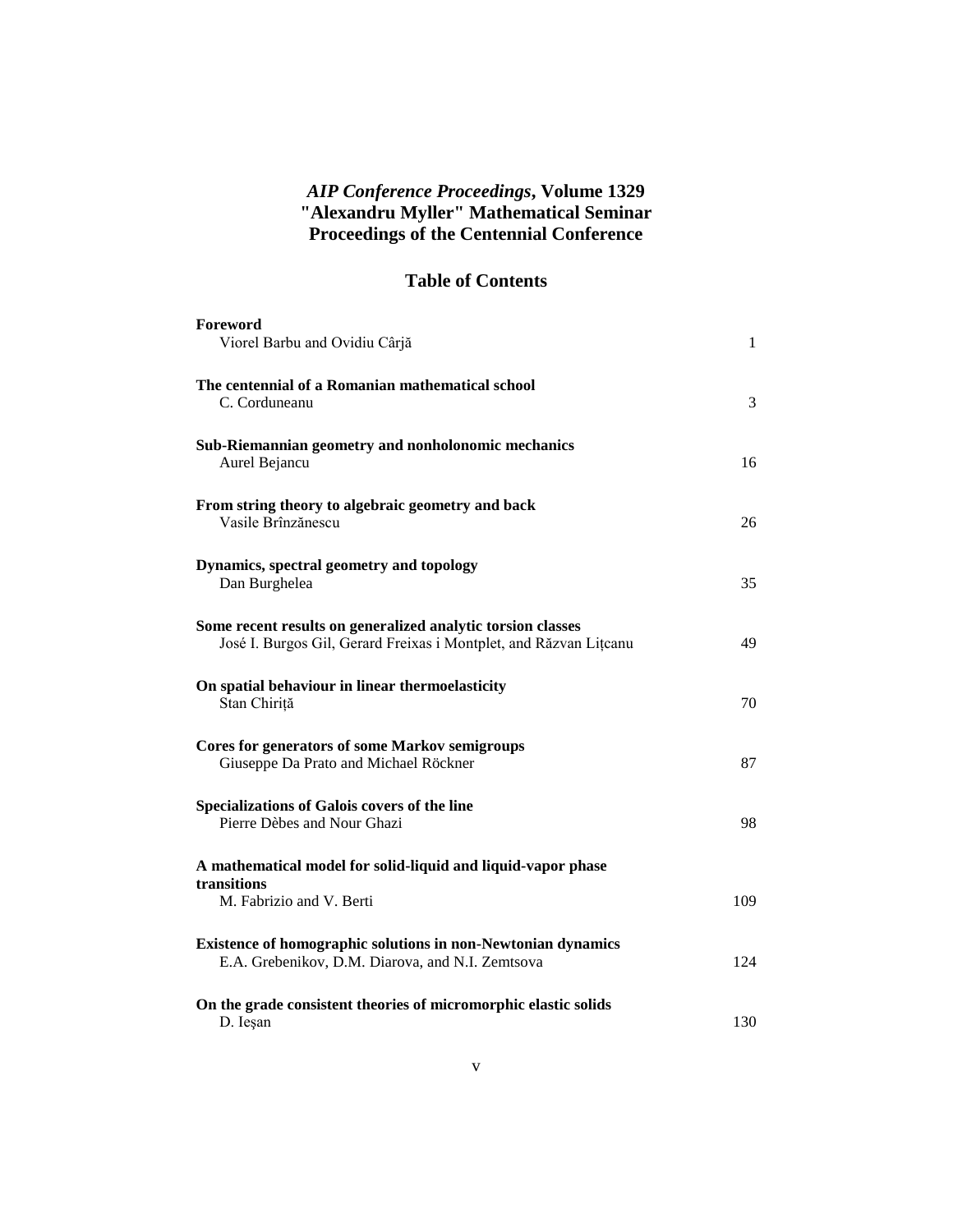## *AIP Conference Proceedings***, Volume 1329 "Alexandru Myller" Mathematical Seminar Proceedings of the Centennial Conference**

## **Table of Contents**

| Foreword<br>Viorel Barbu and Ovidiu Cârjă                                                                                        | $\mathbf{1}$ |
|----------------------------------------------------------------------------------------------------------------------------------|--------------|
| The centennial of a Romanian mathematical school<br>C. Corduneanu                                                                | 3            |
| Sub-Riemannian geometry and nonholonomic mechanics<br>Aurel Bejancu                                                              | 16           |
| From string theory to algebraic geometry and back<br>Vasile Brînzănescu                                                          | 26           |
| Dynamics, spectral geometry and topology<br>Dan Burghelea                                                                        | 35           |
| Some recent results on generalized analytic torsion classes<br>José I. Burgos Gil, Gerard Freixas i Montplet, and Răzvan Litcanu | 49           |
| On spatial behaviour in linear thermoelasticity<br>Stan Chiriță                                                                  | 70           |
| <b>Cores for generators of some Markov semigroups</b><br>Giuseppe Da Prato and Michael Röckner                                   | 87           |
| Specializations of Galois covers of the line<br>Pierre Dèbes and Nour Ghazi                                                      | 98           |
| A mathematical model for solid-liquid and liquid-vapor phase<br>transitions<br>M. Fabrizio and V. Berti                          | 109          |
| <b>Existence of homographic solutions in non-Newtonian dynamics</b>                                                              |              |
| E.A. Grebenikov, D.M. Diarova, and N.I. Zemtsova                                                                                 | 124          |
| On the grade consistent theories of micromorphic elastic solids<br>D. Iesan                                                      | 130          |